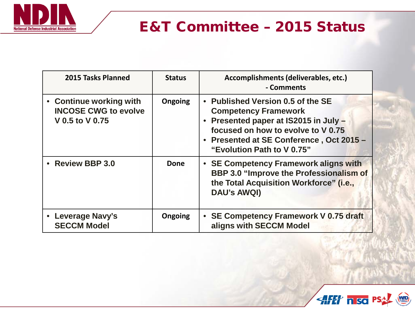

# E&T Committee – 2015 Status

| 2015 Tasks Planned                                                        | <b>Status</b>  | Accomplishments (deliverables, etc.)<br>- Comments                                                                                                                                                                      |
|---------------------------------------------------------------------------|----------------|-------------------------------------------------------------------------------------------------------------------------------------------------------------------------------------------------------------------------|
| • Continue working with<br><b>INCOSE CWG to evolve</b><br>V 0.5 to V 0.75 | <b>Ongoing</b> | • Published Version 0.5 of the SE<br><b>Competency Framework</b><br>Presented paper at IS2015 in July -<br>focused on how to evolve to V 0.75<br>• Presented at SE Conference, Oct 2015 -<br>"Evolution Path to V 0.75" |
| • Review BBP 3.0                                                          | <b>Done</b>    | • SE Competency Framework aligns with<br><b>BBP 3.0 "Improve the Professionalism of</b><br>the Total Acquisition Workforce" (i.e.,<br><b>DAU's AWQI)</b>                                                                |
| • Leverage Navy's<br><b>SECCM Model</b>                                   | <b>Ongoing</b> | SE Competency Framework V 0.75 draft<br>aligns with SECCM Model                                                                                                                                                         |